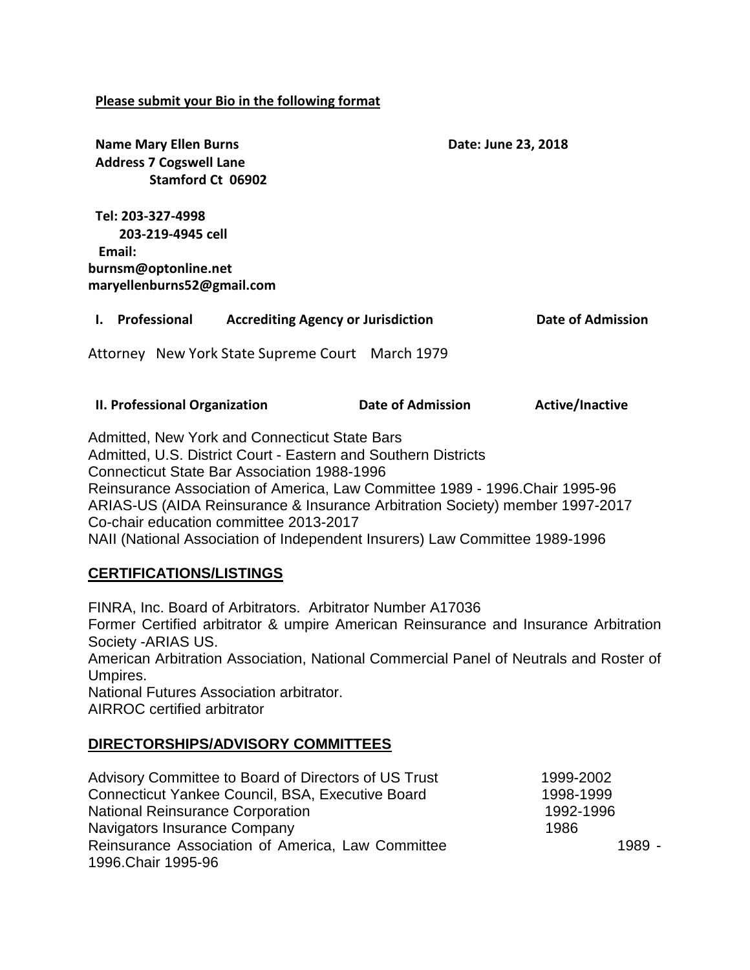### **Please submit your Bio in the following format**

**Name Mary Ellen Burns Date: June 23, 2018 Address 7 Cogswell Lane Stamford Ct 06902 Tel: 203-327-4998 203-219-4945 cell Email: [burnsm@optonline.net](mailto:burnsm@optonline.net) maryellenburns52@gmail.com I. Professional Accrediting Agency or Jurisdiction Date of Admission** Attorney New York State Supreme Court March 1979 **II. Professional Organization Date of Admission Active/Inactive** Admitted, New York and Connecticut State Bars Admitted, U.S. District Court - Eastern and Southern Districts Connecticut State Bar Association 1988-1996 Reinsurance Association of America, Law Committee 1989 - 1996.Chair 1995-96 ARIAS-US (AIDA Reinsurance & Insurance Arbitration Society) member 1997-2017 Co-chair education committee 2013-2017

NAII (National Association of Independent Insurers) Law Committee 1989-1996

# **CERTIFICATIONS/LISTINGS**

FINRA, Inc. Board of Arbitrators. Arbitrator Number A17036 Former Certified arbitrator & umpire American Reinsurance and Insurance Arbitration Society -ARIAS US. American Arbitration Association, National Commercial Panel of Neutrals and Roster of Umpires. National Futures Association arbitrator. AIRROC certified arbitrator

## **DIRECTORSHIPS/ADVISORY COMMITTEES**

| Advisory Committee to Board of Directors of US Trust | 1999-2002 |
|------------------------------------------------------|-----------|
| Connecticut Yankee Council, BSA, Executive Board     | 1998-1999 |
| <b>National Reinsurance Corporation</b>              | 1992-1996 |
| Navigators Insurance Company                         | 1986      |
| Reinsurance Association of America, Law Committee    | 1989 -    |
| 1996. Chair 1995-96                                  |           |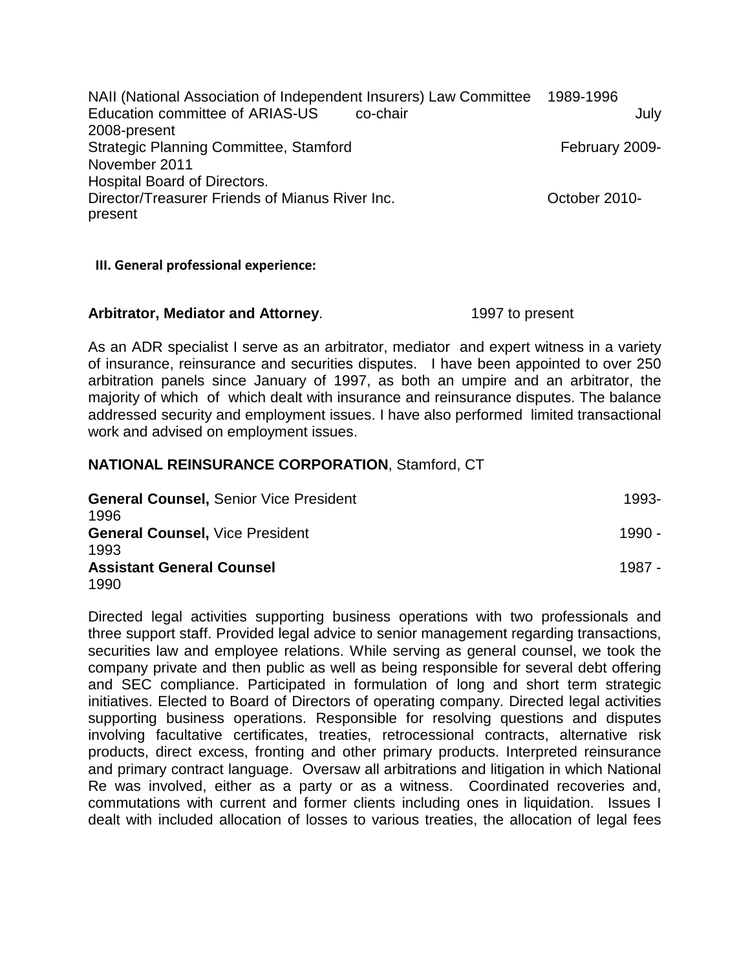NAII (National Association of Independent Insurers) Law Committee 1989-1996 Education committee of ARIAS-US co-chair co-chain 2008-present Strategic Planning Committee, Stamford February 2009-November 2011 Hospital Board of Directors. Director/Treasurer Friends of Mianus River Inc. October 2010 present

### **III. General professional experience:**

#### **Arbitrator, Mediator and Attorney**. 1997 to present

As an ADR specialist I serve as an arbitrator, mediator and expert witness in a variety of insurance, reinsurance and securities disputes. I have been appointed to over 250 arbitration panels since January of 1997, as both an umpire and an arbitrator, the majority of which of which dealt with insurance and reinsurance disputes. The balance addressed security and employment issues. I have also performed limited transactional work and advised on employment issues.

## **NATIONAL REINSURANCE CORPORATION**, Stamford, CT

| <b>General Counsel, Senior Vice President</b> | 1993-    |
|-----------------------------------------------|----------|
| 1996                                          |          |
| <b>General Counsel, Vice President</b>        | $1990 -$ |
| 1993                                          |          |
| <b>Assistant General Counsel</b>              | 1987 -   |
| 1990                                          |          |

Directed legal activities supporting business operations with two professionals and three support staff. Provided legal advice to senior management regarding transactions, securities law and employee relations. While serving as general counsel, we took the company private and then public as well as being responsible for several debt offering and SEC compliance. Participated in formulation of long and short term strategic initiatives. Elected to Board of Directors of operating company. Directed legal activities supporting business operations. Responsible for resolving questions and disputes involving facultative certificates, treaties, retrocessional contracts, alternative risk products, direct excess, fronting and other primary products. Interpreted reinsurance and primary contract language. Oversaw all arbitrations and litigation in which National Re was involved, either as a party or as a witness. Coordinated recoveries and, commutations with current and former clients including ones in liquidation. Issues I dealt with included allocation of losses to various treaties, the allocation of legal fees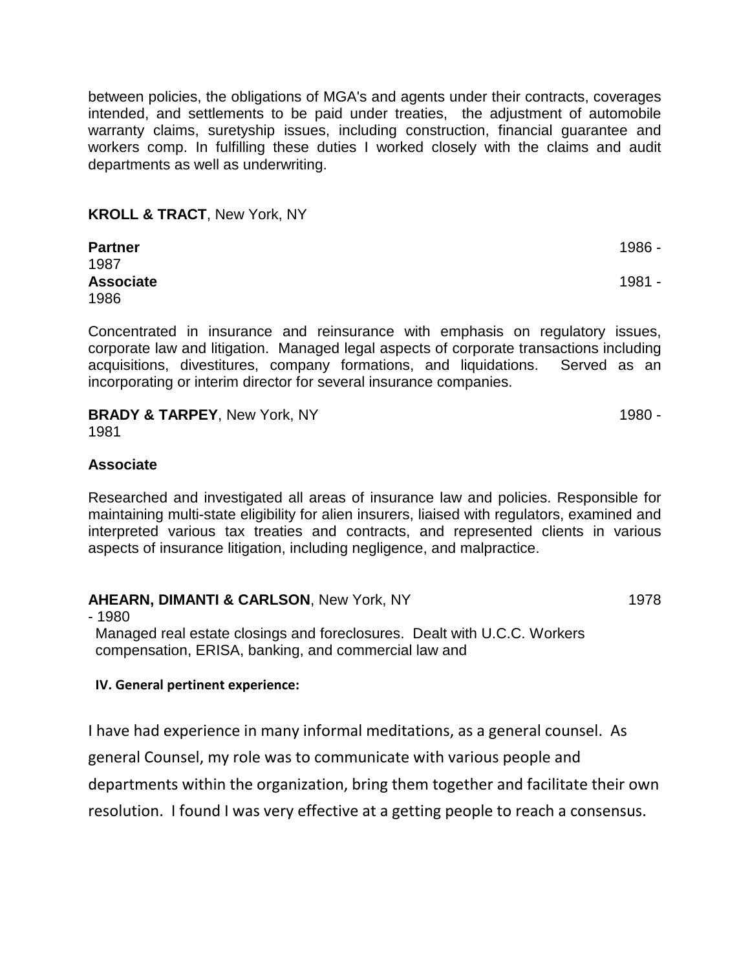between policies, the obligations of MGA's and agents under their contracts, coverages intended, and settlements to be paid under treaties, the adjustment of automobile warranty claims, suretyship issues, including construction, financial guarantee and workers comp. In fulfilling these duties I worked closely with the claims and audit departments as well as underwriting.

### **KROLL & TRACT**, New York, NY

| <b>Partner</b>   | 1986 - |
|------------------|--------|
| 1987             |        |
| <b>Associate</b> | 1981 - |
| 1986             |        |

Concentrated in insurance and reinsurance with emphasis on regulatory issues, corporate law and litigation. Managed legal aspects of corporate transactions including acquisitions, divestitures, company formations, and liquidations. Served as an incorporating or interim director for several insurance companies.

## **BRADY & TARPEY**, New York, NY 1980 -

1981

### **Associate**

Researched and investigated all areas of insurance law and policies. Responsible for maintaining multi-state eligibility for alien insurers, liaised with regulators, examined and interpreted various tax treaties and contracts, and represented clients in various aspects of insurance litigation, including negligence, and malpractice.

#### **AHEARN, DIMANTI & CARLSON, New York, NY 1978**

- 1980

Managed real estate closings and foreclosures. Dealt with U.C.C. Workers compensation, ERISA, banking, and commercial law and

#### **IV. General pertinent experience:**

I have had experience in many informal meditations, as a general counsel. As general Counsel, my role was to communicate with various people and departments within the organization, bring them together and facilitate their own resolution. I found I was very effective at a getting people to reach a consensus.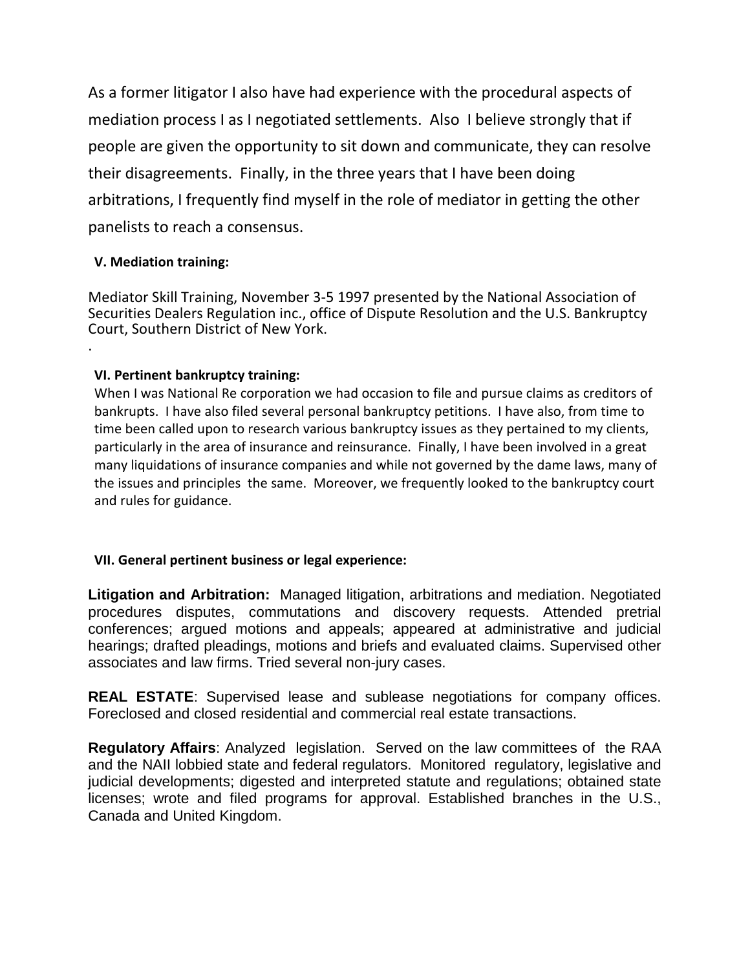As a former litigator I also have had experience with the procedural aspects of mediation process I as I negotiated settlements. Also I believe strongly that if people are given the opportunity to sit down and communicate, they can resolve their disagreements. Finally, in the three years that I have been doing arbitrations, I frequently find myself in the role of mediator in getting the other panelists to reach a consensus.

## **V. Mediation training:**

Mediator Skill Training, November 3-5 1997 presented by the National Association of Securities Dealers Regulation inc., office of Dispute Resolution and the U.S. Bankruptcy Court, Southern District of New York. .

## **VI. Pertinent bankruptcy training:**

When I was National Re corporation we had occasion to file and pursue claims as creditors of bankrupts. I have also filed several personal bankruptcy petitions. I have also, from time to time been called upon to research various bankruptcy issues as they pertained to my clients, particularly in the area of insurance and reinsurance. Finally, I have been involved in a great many liquidations of insurance companies and while not governed by the dame laws, many of the issues and principles the same. Moreover, we frequently looked to the bankruptcy court and rules for guidance.

## **VII. General pertinent business or legal experience:**

**Litigation and Arbitration:** Managed litigation, arbitrations and mediation. Negotiated procedures disputes, commutations and discovery requests. Attended pretrial conferences; argued motions and appeals; appeared at administrative and judicial hearings; drafted pleadings, motions and briefs and evaluated claims. Supervised other associates and law firms. Tried several non-jury cases.

**REAL ESTATE**: Supervised lease and sublease negotiations for company offices. Foreclosed and closed residential and commercial real estate transactions.

**Regulatory Affairs**: Analyzed legislation. Served on the law committees of the RAA and the NAII lobbied state and federal regulators. Monitored regulatory, legislative and judicial developments; digested and interpreted statute and regulations; obtained state licenses; wrote and filed programs for approval. Established branches in the U.S., Canada and United Kingdom.